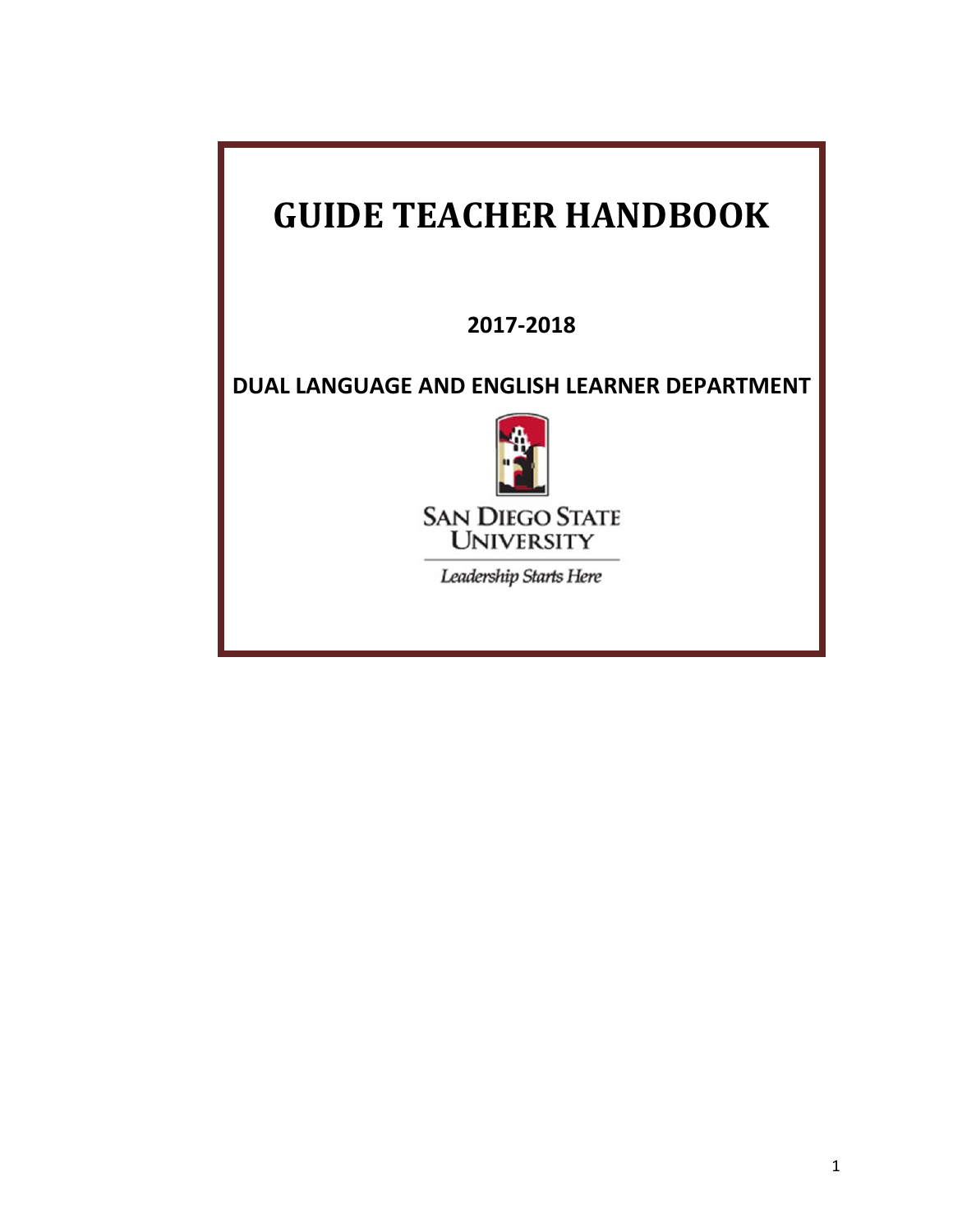# **GUIDE TEACHER HANDBOOK**

**2017-2018**

**DUAL LANGUAGE AND ENGLISH LEARNER DEPARTMENT**



Leadership Starts Here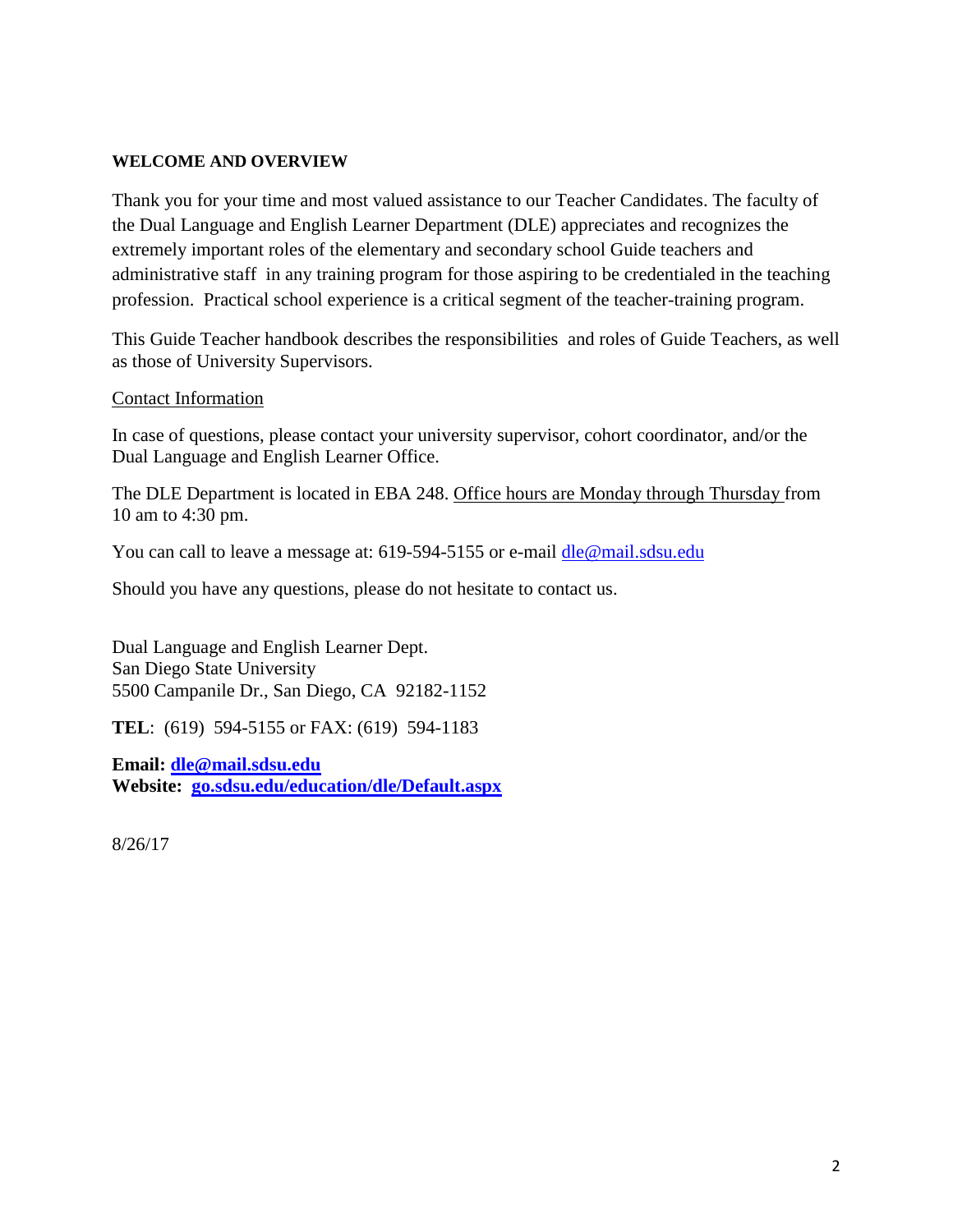#### **WELCOME AND OVERVIEW**

Thank you for your time and most valued assistance to our Teacher Candidates. The faculty of the Dual Language and English Learner Department (DLE) appreciates and recognizes the extremely important roles of the elementary and secondary school Guide teachers and administrative staff in any training program for those aspiring to be credentialed in the teaching profession. Practical school experience is a critical segment of the teacher-training program.

This Guide Teacher handbook describes the responsibilities and roles of Guide Teachers, as well as those of University Supervisors.

#### Contact Information

In case of questions, please contact your university supervisor, cohort coordinator, and/or the Dual Language and English Learner Office.

The DLE Department is located in EBA 248. Office hours are Monday through Thursday from 10 am to 4:30 pm.

You can call to leave a message at: 619-594-5155 or e-mail dle@mail.sdsu.edu

Should you have any questions, please do not hesitate to contact us.

Dual Language and English Learner Dept. San Diego State University 5500 Campanile Dr., San Diego, CA 92182-1152

**TEL**: (619) 594-5155 or FAX: (619) 594-1183

**Email: [dle@mail.sdsu.edu](mailto:dle@mail.sdsu.edu) Website: [go.sdsu.edu/education/dle/Default.aspx](http://go.sdsu/education/dle/Default.aspx)**

8/26/17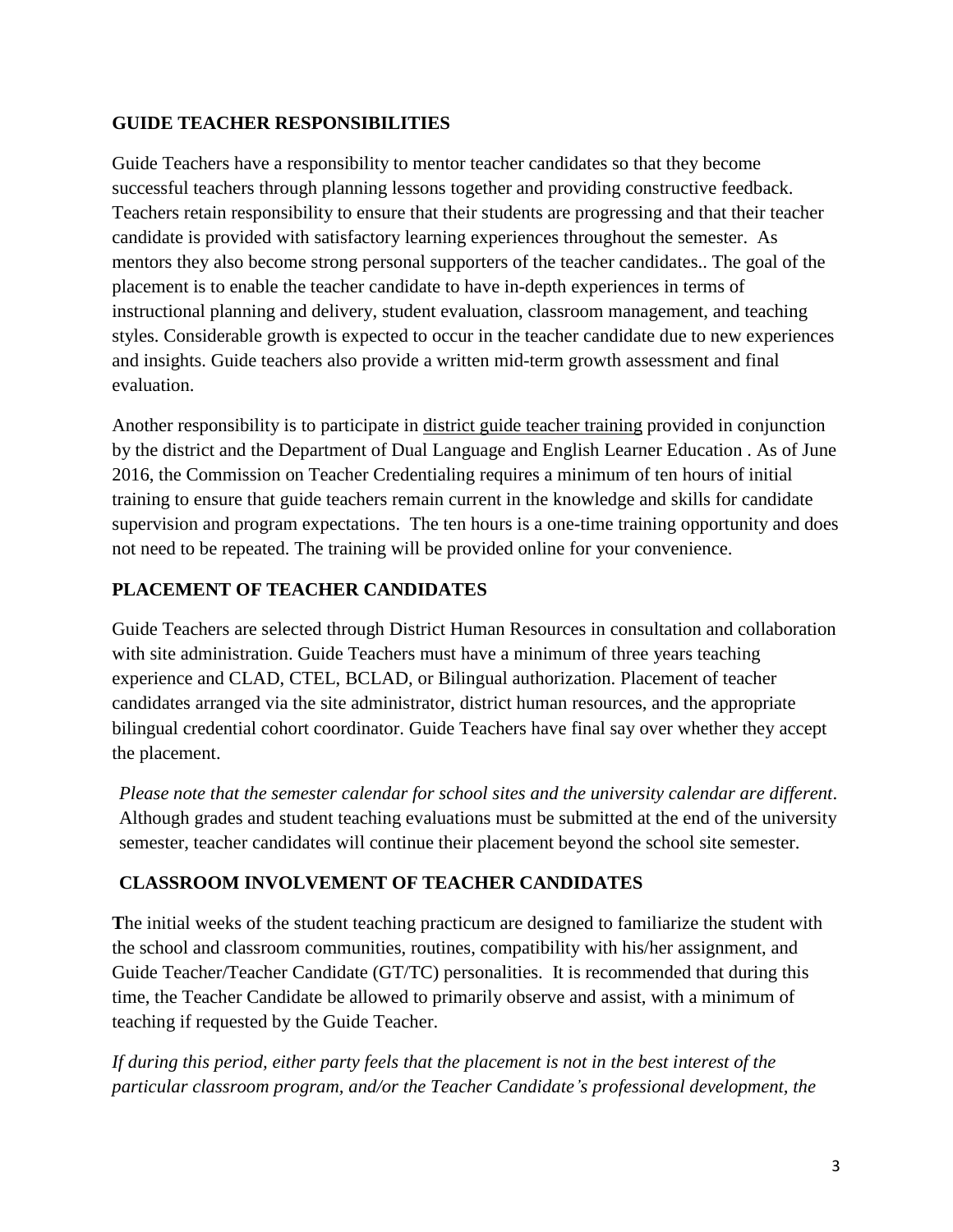## **GUIDE TEACHER RESPONSIBILITIES**

Guide Teachers have a responsibility to mentor teacher candidates so that they become successful teachers through planning lessons together and providing constructive feedback. Teachers retain responsibility to ensure that their students are progressing and that their teacher candidate is provided with satisfactory learning experiences throughout the semester. As mentors they also become strong personal supporters of the teacher candidates.. The goal of the placement is to enable the teacher candidate to have in-depth experiences in terms of instructional planning and delivery, student evaluation, classroom management, and teaching styles. Considerable growth is expected to occur in the teacher candidate due to new experiences and insights. Guide teachers also provide a written mid-term growth assessment and final evaluation.

Another responsibility is to participate in district guide teacher training provided in conjunction by the district and the Department of Dual Language and English Learner Education . As of June 2016, the Commission on Teacher Credentialing requires a minimum of ten hours of initial training to ensure that guide teachers remain current in the knowledge and skills for candidate supervision and program expectations. The ten hours is a one-time training opportunity and does not need to be repeated. The training will be provided online for your convenience.

# **PLACEMENT OF TEACHER CANDIDATES**

Guide Teachers are selected through District Human Resources in consultation and collaboration with site administration. Guide Teachers must have a minimum of three years teaching experience and CLAD, CTEL, BCLAD, or Bilingual authorization. Placement of teacher candidates arranged via the site administrator, district human resources, and the appropriate bilingual credential cohort coordinator. Guide Teachers have final say over whether they accept the placement.

*Please note that the semester calendar for school sites and the university calendar are different*. Although grades and student teaching evaluations must be submitted at the end of the university semester, teacher candidates will continue their placement beyond the school site semester.

# **CLASSROOM INVOLVEMENT OF TEACHER CANDIDATES**

**T**he initial weeks of the student teaching practicum are designed to familiarize the student with the school and classroom communities, routines, compatibility with his/her assignment, and Guide Teacher/Teacher Candidate (GT/TC) personalities. It is recommended that during this time, the Teacher Candidate be allowed to primarily observe and assist, with a minimum of teaching if requested by the Guide Teacher.

*If during this period, either party feels that the placement is not in the best interest of the particular classroom program, and/or the Teacher Candidate's professional development, the*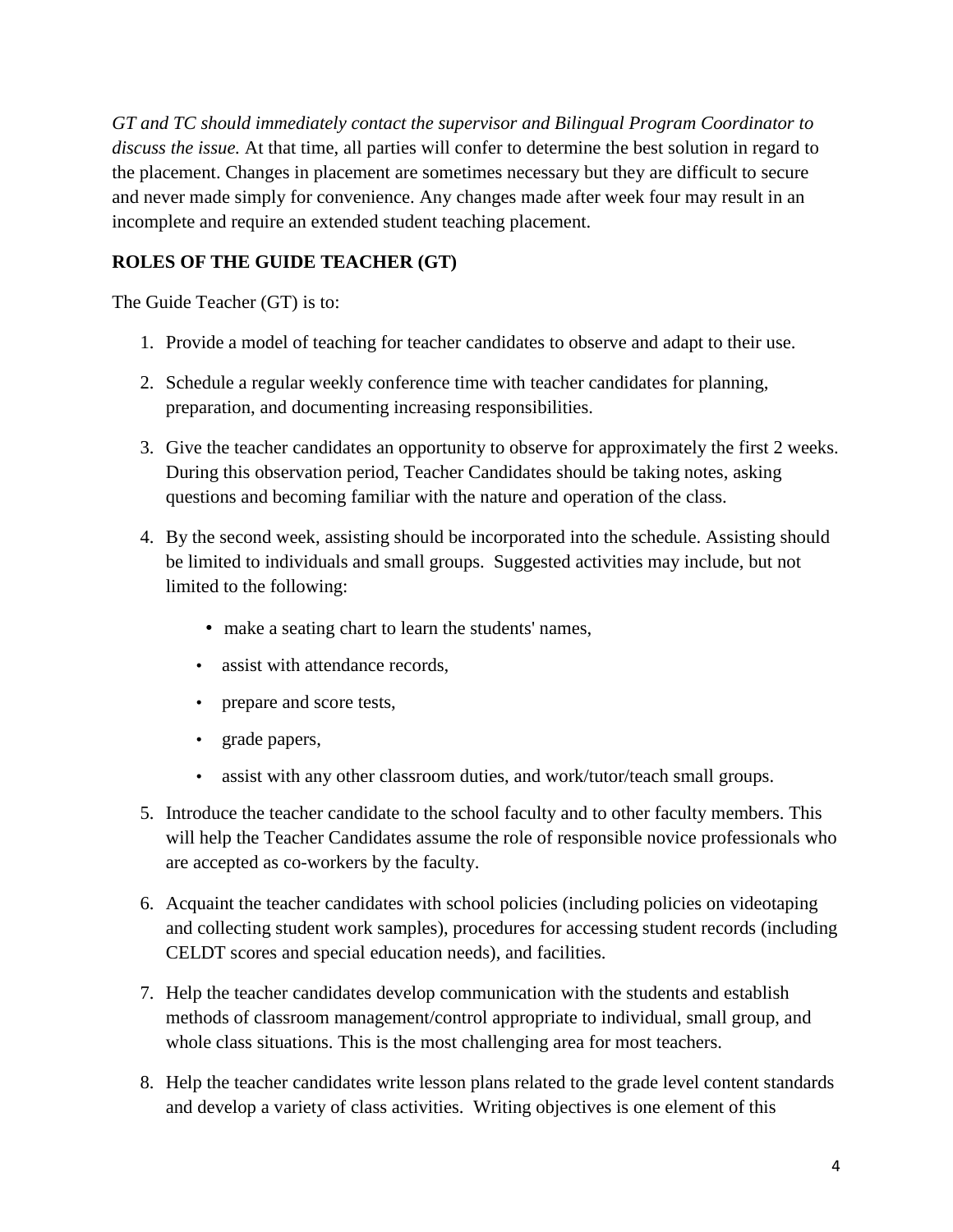*GT and TC should immediately contact the supervisor and Bilingual Program Coordinator to discuss the issue.* At that time, all parties will confer to determine the best solution in regard to the placement. Changes in placement are sometimes necessary but they are difficult to secure and never made simply for convenience. Any changes made after week four may result in an incomplete and require an extended student teaching placement.

## **ROLES OF THE GUIDE TEACHER (GT)**

The Guide Teacher (GT) is to:

- 1. Provide a model of teaching for teacher candidates to observe and adapt to their use.
- 2. Schedule a regular weekly conference time with teacher candidates for planning, preparation, and documenting increasing responsibilities.
- 3. Give the teacher candidates an opportunity to observe for approximately the first 2 weeks. During this observation period, Teacher Candidates should be taking notes, asking questions and becoming familiar with the nature and operation of the class.
- 4. By the second week, assisting should be incorporated into the schedule. Assisting should be limited to individuals and small groups. Suggested activities may include, but not limited to the following:
	- make a seating chart to learn the students' names,
	- assist with attendance records.
	- prepare and score tests,
	- grade papers,
	- assist with any other classroom duties, and work/tutor/teach small groups.
- 5. Introduce the teacher candidate to the school faculty and to other faculty members. This will help the Teacher Candidates assume the role of responsible novice professionals who are accepted as co-workers by the faculty.
- 6. Acquaint the teacher candidates with school policies (including policies on videotaping and collecting student work samples), procedures for accessing student records (including CELDT scores and special education needs), and facilities.
- 7. Help the teacher candidates develop communication with the students and establish methods of classroom management/control appropriate to individual, small group, and whole class situations. This is the most challenging area for most teachers.
- 8. Help the teacher candidates write lesson plans related to the grade level content standards and develop a variety of class activities. Writing objectives is one element of this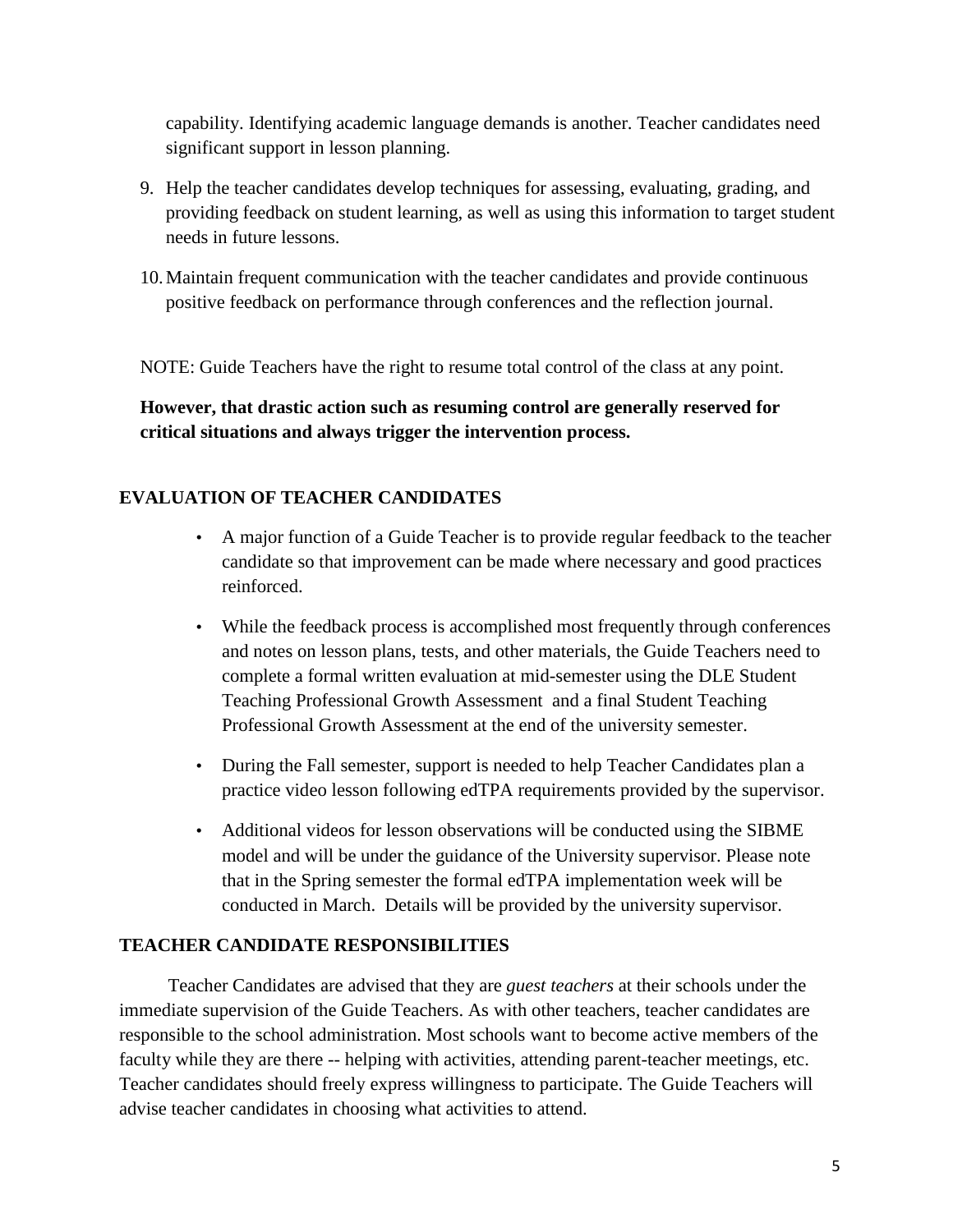capability. Identifying academic language demands is another. Teacher candidates need significant support in lesson planning.

- 9. Help the teacher candidates develop techniques for assessing, evaluating, grading, and providing feedback on student learning, as well as using this information to target student needs in future lessons.
- 10.Maintain frequent communication with the teacher candidates and provide continuous positive feedback on performance through conferences and the reflection journal.

NOTE: Guide Teachers have the right to resume total control of the class at any point.

**However, that drastic action such as resuming control are generally reserved for critical situations and always trigger the intervention process.**

## **EVALUATION OF TEACHER CANDIDATES**

- A major function of a Guide Teacher is to provide regular feedback to the teacher candidate so that improvement can be made where necessary and good practices reinforced.
- While the feedback process is accomplished most frequently through conferences and notes on lesson plans, tests, and other materials, the Guide Teachers need to complete a formal written evaluation at mid-semester using the DLE Student Teaching Professional Growth Assessment and a final Student Teaching Professional Growth Assessment at the end of the university semester.
- During the Fall semester, support is needed to help Teacher Candidates plan a practice video lesson following edTPA requirements provided by the supervisor.
- Additional videos for lesson observations will be conducted using the SIBME model and will be under the guidance of the University supervisor. Please note that in the Spring semester the formal edTPA implementation week will be conducted in March. Details will be provided by the university supervisor.

## **TEACHER CANDIDATE RESPONSIBILITIES**

Teacher Candidates are advised that they are *guest teachers* at their schools under the immediate supervision of the Guide Teachers. As with other teachers, teacher candidates are responsible to the school administration. Most schools want to become active members of the faculty while they are there -- helping with activities, attending parent-teacher meetings, etc. Teacher candidates should freely express willingness to participate. The Guide Teachers will advise teacher candidates in choosing what activities to attend.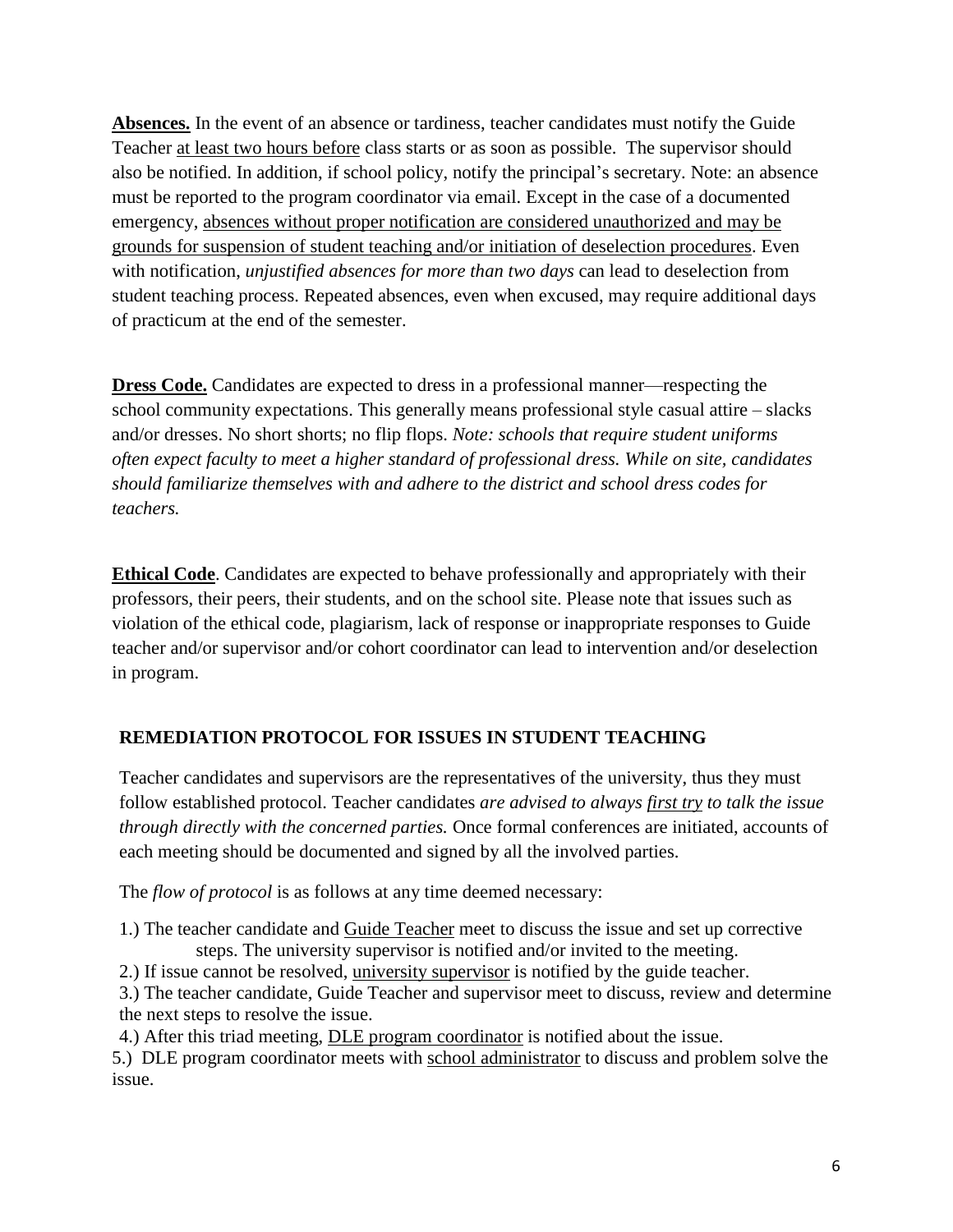**Absences.** In the event of an absence or tardiness, teacher candidates must notify the Guide Teacher at least two hours before class starts or as soon as possible. The supervisor should also be notified. In addition, if school policy, notify the principal's secretary. Note: an absence must be reported to the program coordinator via email. Except in the case of a documented emergency, absences without proper notification are considered unauthorized and may be grounds for suspension of student teaching and/or initiation of deselection procedures. Even with notification, *unjustified absences for more than two days* can lead to deselection from student teaching process. Repeated absences, even when excused, may require additional days of practicum at the end of the semester.

**Dress Code.** Candidates are expected to dress in a professional manner—respecting the school community expectations. This generally means professional style casual attire – slacks and/or dresses. No short shorts; no flip flops. *Note: schools that require student uniforms often expect faculty to meet a higher standard of professional dress. While on site, candidates should familiarize themselves with and adhere to the district and school dress codes for teachers.*

**Ethical Code**. Candidates are expected to behave professionally and appropriately with their professors, their peers, their students, and on the school site. Please note that issues such as violation of the ethical code, plagiarism, lack of response or inappropriate responses to Guide teacher and/or supervisor and/or cohort coordinator can lead to intervention and/or deselection in program.

## **REMEDIATION PROTOCOL FOR ISSUES IN STUDENT TEACHING**

Teacher candidates and supervisors are the representatives of the university, thus they must follow established protocol. Teacher candidates *are advised to always first try to talk the issue through directly with the concerned parties.* Once formal conferences are initiated, accounts of each meeting should be documented and signed by all the involved parties.

The *flow of protocol* is as follows at any time deemed necessary:

1.) The teacher candidate and Guide Teacher meet to discuss the issue and set up corrective steps. The university supervisor is notified and/or invited to the meeting.

2.) If issue cannot be resolved, university supervisor is notified by the guide teacher.

3.) The teacher candidate, Guide Teacher and supervisor meet to discuss, review and determine the next steps to resolve the issue.

4.) After this triad meeting, DLE program coordinator is notified about the issue.

5.) DLE program coordinator meets with school administrator to discuss and problem solve the issue.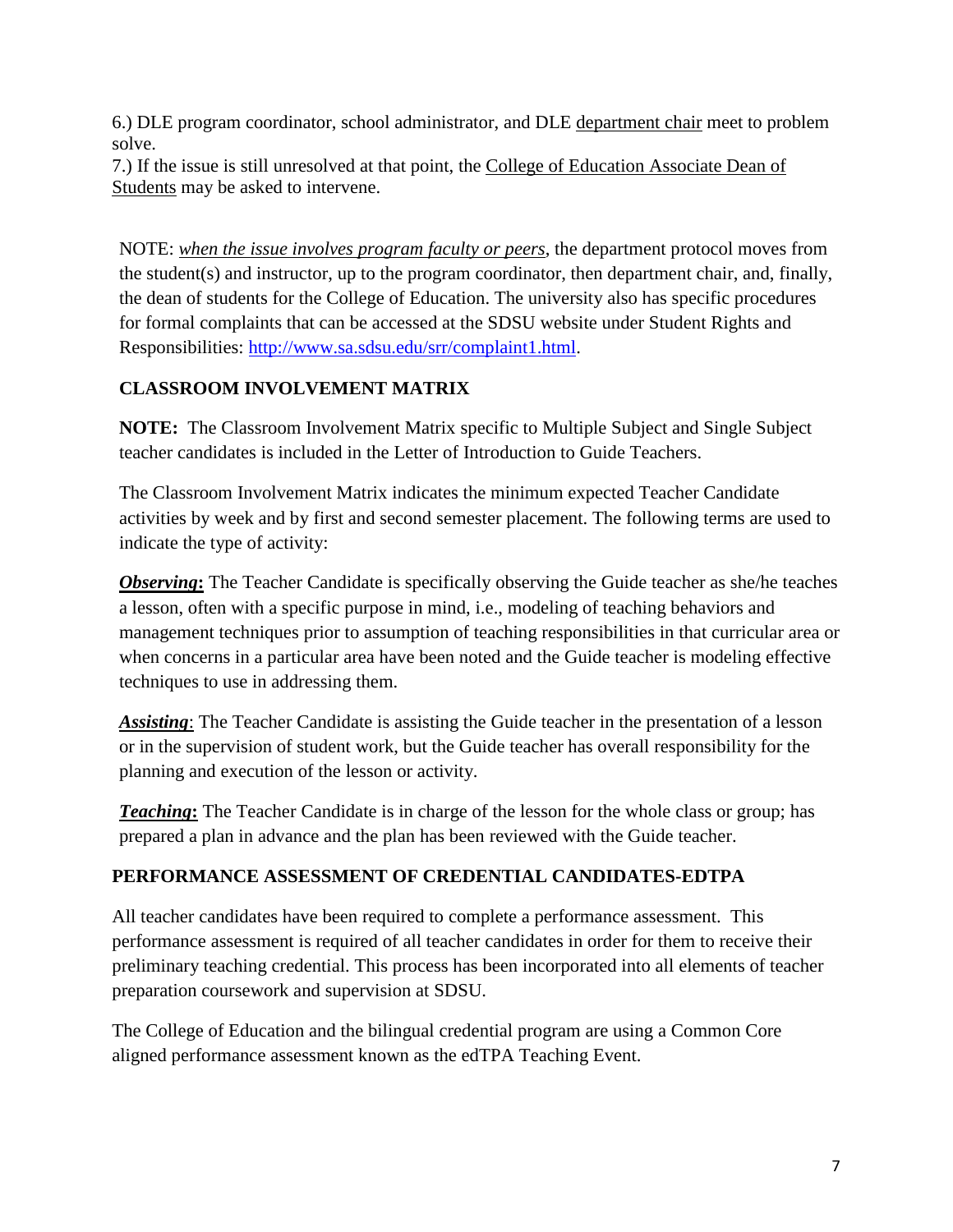6.) DLE program coordinator, school administrator, and DLE department chair meet to problem solve.

7.) If the issue is still unresolved at that point, the College of Education Associate Dean of Students may be asked to intervene.

NOTE: *when the issue involves program faculty or peers*, the department protocol moves from the student(s) and instructor, up to the program coordinator, then department chair, and, finally, the dean of students for the College of Education. The university also has specific procedures for formal complaints that can be accessed at the SDSU website under Student Rights and Responsibilities: [http://www.sa.sdsu.edu/srr/complaint1.html.](http://www.sa.sdsu.edu/srr/complaint1.html)

# **CLASSROOM INVOLVEMENT MATRIX**

**NOTE:** The Classroom Involvement Matrix specific to Multiple Subject and Single Subject teacher candidates is included in the Letter of Introduction to Guide Teachers.

The Classroom Involvement Matrix indicates the minimum expected Teacher Candidate activities by week and by first and second semester placement. The following terms are used to indicate the type of activity:

*Observing***:** The Teacher Candidate is specifically observing the Guide teacher as she/he teaches a lesson, often with a specific purpose in mind, i.e., modeling of teaching behaviors and management techniques prior to assumption of teaching responsibilities in that curricular area or when concerns in a particular area have been noted and the Guide teacher is modeling effective techniques to use in addressing them.

*Assisting*: The Teacher Candidate is assisting the Guide teacher in the presentation of a lesson or in the supervision of student work, but the Guide teacher has overall responsibility for the planning and execution of the lesson or activity.

**Teaching**: The Teacher Candidate is in charge of the lesson for the whole class or group; has prepared a plan in advance and the plan has been reviewed with the Guide teacher.

# **PERFORMANCE ASSESSMENT OF CREDENTIAL CANDIDATES-EDTPA**

All teacher candidates have been required to complete a performance assessment. This performance assessment is required of all teacher candidates in order for them to receive their preliminary teaching credential. This process has been incorporated into all elements of teacher preparation coursework and supervision at SDSU.

The College of Education and the bilingual credential program are using a Common Core aligned performance assessment known as the edTPA Teaching Event.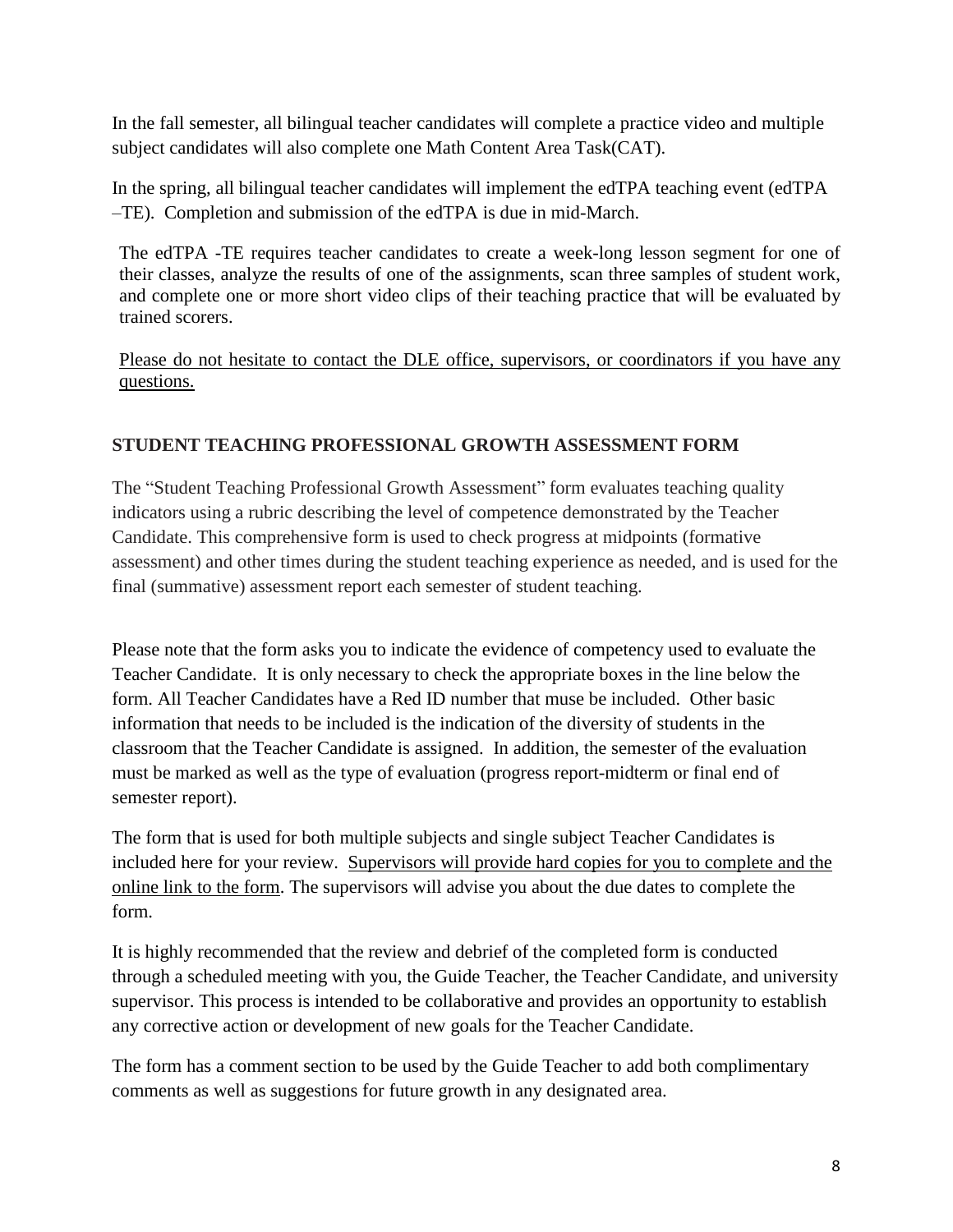In the fall semester, all bilingual teacher candidates will complete a practice video and multiple subject candidates will also complete one Math Content Area Task(CAT).

In the spring, all bilingual teacher candidates will implement the edTPA teaching event (edTPA –TE). Completion and submission of the edTPA is due in mid-March.

The edTPA -TE requires teacher candidates to create a week-long lesson segment for one of their classes, analyze the results of one of the assignments, scan three samples of student work, and complete one or more short video clips of their teaching practice that will be evaluated by trained scorers.

Please do not hesitate to contact the DLE office, supervisors, or coordinators if you have any questions.

# **STUDENT TEACHING PROFESSIONAL GROWTH ASSESSMENT FORM**

The "Student Teaching Professional Growth Assessment" form evaluates teaching quality indicators using a rubric describing the level of competence demonstrated by the Teacher Candidate. This comprehensive form is used to check progress at midpoints (formative assessment) and other times during the student teaching experience as needed, and is used for the final (summative) assessment report each semester of student teaching.

Please note that the form asks you to indicate the evidence of competency used to evaluate the Teacher Candidate. It is only necessary to check the appropriate boxes in the line below the form. All Teacher Candidates have a Red ID number that muse be included. Other basic information that needs to be included is the indication of the diversity of students in the classroom that the Teacher Candidate is assigned. In addition, the semester of the evaluation must be marked as well as the type of evaluation (progress report-midterm or final end of semester report).

The form that is used for both multiple subjects and single subject Teacher Candidates is included here for your review. Supervisors will provide hard copies for you to complete and the online link to the form. The supervisors will advise you about the due dates to complete the form.

It is highly recommended that the review and debrief of the completed form is conducted through a scheduled meeting with you, the Guide Teacher, the Teacher Candidate, and university supervisor. This process is intended to be collaborative and provides an opportunity to establish any corrective action or development of new goals for the Teacher Candidate.

The form has a comment section to be used by the Guide Teacher to add both complimentary comments as well as suggestions for future growth in any designated area.